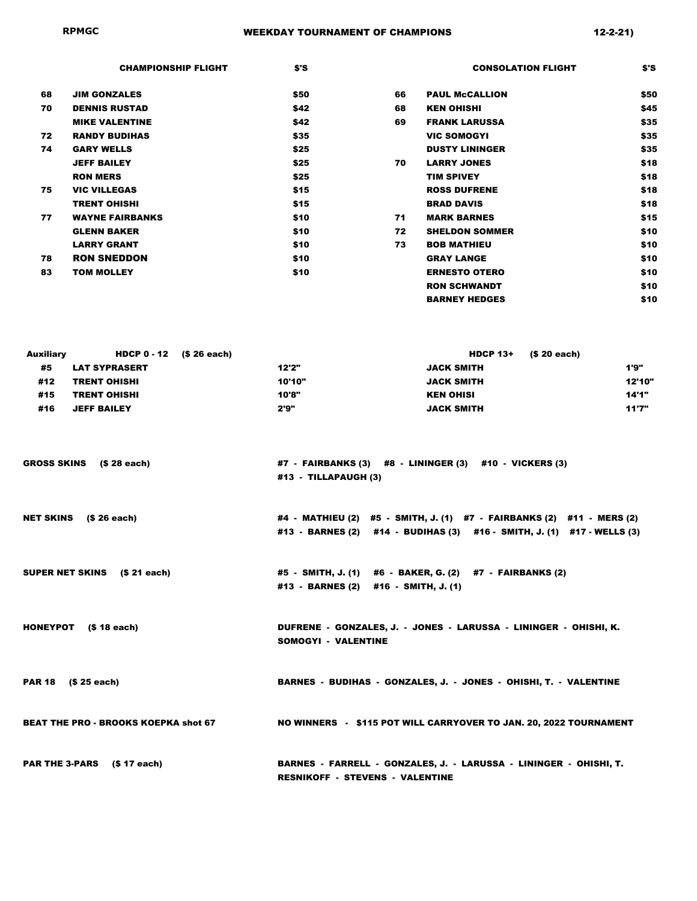|    | <b>CHAMPIONSHIP FLIGHT</b> | \$'S |    | <b>CONSOLATION FLIGHT</b> | S'S  |
|----|----------------------------|------|----|---------------------------|------|
| 68 | <b>JIM GONZALES</b>        | \$50 | 66 | <b>PAUL McCALLION</b>     | \$50 |
| 70 | <b>DENNIS RUSTAD</b>       | \$42 | 68 | <b>KEN OHISHI</b>         | \$45 |
|    | <b>MIKE VALENTINE</b>      | \$42 | 69 | <b>FRANK LARUSSA</b>      | \$35 |
| 72 | <b>RANDY BUDIHAS</b>       | \$35 |    | <b>VIC SOMOGYI</b>        | \$35 |
| 74 | <b>GARY WELLS</b>          | \$25 |    | <b>DUSTY LININGER</b>     | \$35 |
|    | <b>JEFF BAILEY</b>         | \$25 | 70 | <b>LARRY JONES</b>        | \$18 |
|    | <b>RON MERS</b>            | \$25 |    | <b>TIM SPIVEY</b>         | \$18 |
| 75 | <b>VIC VILLEGAS</b>        | \$15 |    | <b>ROSS DUFRENE</b>       | \$18 |
|    | <b>TRENT OHISHI</b>        | \$15 |    | <b>BRAD DAVIS</b>         | \$18 |
| 77 | <b>WAYNE FAIRBANKS</b>     | \$10 | 71 | <b>MARK BARNES</b>        | \$15 |
|    | <b>GLENN BAKER</b>         | \$10 | 72 | <b>SHELDON SOMMER</b>     | \$10 |
|    | <b>LARRY GRANT</b>         | \$10 | 73 | <b>BOB MATHIEU</b>        | \$10 |
| 78 | <b>RON SNEDDON</b>         | \$10 |    | <b>GRAY LANGE</b>         | \$10 |
| 83 | <b>TOM MOLLEY</b>          | \$10 |    | <b>ERNESTO OTERO</b>      | \$10 |
|    |                            |      |    | <b>RON SCHWANDT</b>       | \$10 |
|    |                            |      |    | <b>BARNEY HEDGES</b>      | \$10 |
|    |                            |      |    |                           |      |

| <b>Auxiliary</b> | <b>HDCP <math>0 - 12</math> (\$26 each)</b> |        |                   | <b>HDCP</b> $13+$ (\$ 20 each) |
|------------------|---------------------------------------------|--------|-------------------|--------------------------------|
| #5               | <b>LAT SYPRASERT</b>                        | 12'2"  | <b>JACK SMITH</b> | 1'9"                           |
| #12              | <b>TRENT OHISHI</b>                         | 10'10" | <b>JACK SMITH</b> | 12'10"                         |
| #15              | <b>TRENT OHISHI</b>                         | 10'8"  | <b>KEN OHISI</b>  | 14'1"                          |
| #16              | <b>JEFF BAILEY</b>                          | 2'9"   | <b>JACK SMITH</b> | 11'7"                          |

| GROSS SKINS (\$28 each) | #7 - FAIRBANKS (3) #8 - LININGER (3) #10 - VICKERS (3) |  |
|-------------------------|--------------------------------------------------------|--|
|                         | #13 - TILLAPAUGH (3)                                   |  |

- NET SKINS (\$ 26 each)  $#4 MATHIEU (2) #5 SMITH, J. (1) #7 FARBANKS (2) #11 MERS (2)$ #13 - BARNES (2) #14 - BUDIHAS (3) #16 - SMITH, J. (1) #17 - WELLS (3)
- SUPER NET SKINS (\$ 21 each) #5 SMITH, J. (1) #6 BAKER, G. (2) #7 FAIRBANKS (2) #13 - BARNES (2) #16 - SMITH, J. (1)
- HONEYPOT (\$ 18 each) DUFRENE GONZALES, J. JONES LARUSSA LININGER OHISHI, K. SOMOGYI - VALENTINE

PAR 18 (\$ 25 each) BARNES - BUDIHAS - GONZALES, J. - JONES - OHISHI, T. - VALENTINE

BEAT THE PRO - BROOKS KOEPKA shot 67 NO WINNERS - \$115 POT WILL CARRYOVER TO JAN. 20, 2022 TOURNAMENT

PAR THE 3-PARS (\$ 17 each) BARNES - FARRELL - GONZALES, J. - LARUSSA - LININGER - OHISHI, T. RESNIKOFF - STEVENS - VALENTINE